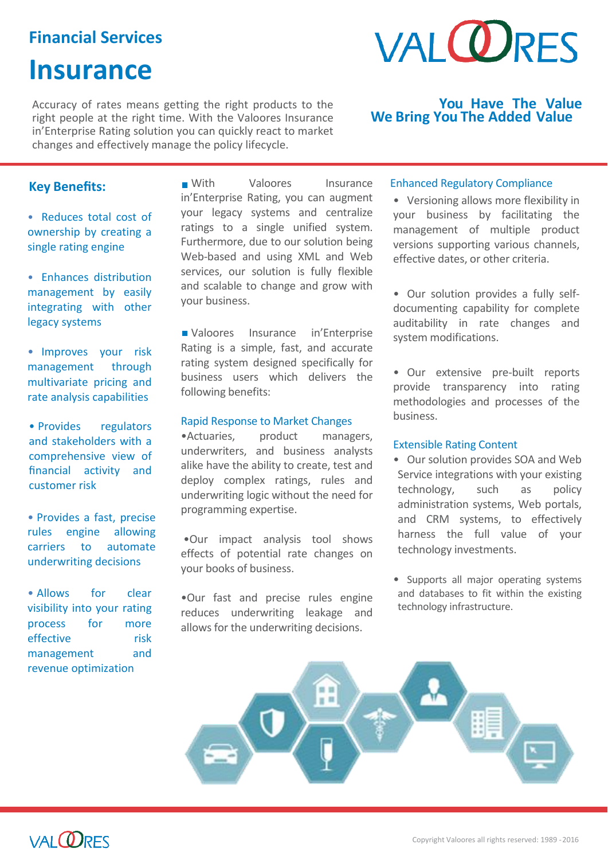### **Financial Services**

### **Insurance**

Accuracy of rates means getting the right products to the right people at the right time. With the Valoores Insurance in'Enterprise Rating solution you can quickly react to market changes and effectively manage the policy lifecycle.

# **VAI ORFS**

### **You Have The Value We Bring You The Added Value**

### **Key Benefits:**

• Reduces total cost of ownership by creating a single rating engine

• Enhances distribution management by easily integrating with other legacy systems

• Improves your risk management through multivariate pricing and rate analysis capabilities

• Provides regulators and stakeholders with a comprehensive view of financial activity and customer risk

• Provides a fast, precise rules engine allowing carriers to automate underwriting decisions

• Allows for clear visibility into your rating process for more effective risk management and revenue optimization

**With** Valoores Insurance in'Enterprise Rating, you can augment your legacy systems and centralize ratings to a single unified system. Furthermore, due to our solution being Web-based and using XML and Web services, our solution is fully flexible and scalable to change and grow with your business.

Valoores Insurance in'Enterprise Rating is a simple, fast, and accurate rating system designed specifically for business users which delivers the following benefits:

### Rapid Response to Market Changes

•Actuaries, product managers, underwriters, and business analysts alike have the ability to create, test and deploy complex ratings, rules and underwriting logic without the need for programming expertise.

•Our impact analysis tool shows effects of potential rate changes on your books of business.

•Our fast and precise rules engine reduces underwriting leakage and allows for the underwriting decisions.

### Enhanced Regulatory Compliance

• Versioning allows more flexibility in your business by facilitating the management of multiple product versions supporting various channels, effective dates, or other criteria.

• Our solution provides a fully selfdocumenting capability for complete auditability in rate changes and system modifications.

• Our extensive pre-built reports provide transparency into rating methodologies and processes of the business.

### Extensible Rating Content

- Our solution provides SOA and Web Service integrations with your existing technology, such as policy administration systems, Web portals, and CRM systems, to effectively harness the full value of your technology investments.
- Supports all major operating systems and databases to fit within the existing technology infrastructure.